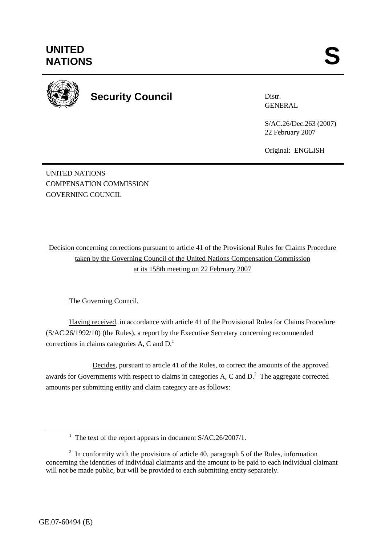

**Security Council** 

Distr. GENERAL

S/AC.26/Dec.263 (2007) 22 February 2007

Original: ENGLISH

UNITED NATIONS COMPENSATION COMMISSION GOVERNING COUNCIL

Decision concerning corrections pursuant to article 41 of the Provisional Rules for Claims Procedure taken by the Governing Council of the United Nations Compensation Commission at its 158th meeting on 22 February 2007

The Governing Council,

Having received, in accordance with article 41 of the Provisional Rules for Claims Procedure (S/AC.26/1992/10) (the Rules), a report by the Executive Secretary concerning recommended corrections in claims categories A, C and  $D<sub>1</sub><sup>1</sup>$ 

 Decides, pursuant to article 41 of the Rules, to correct the amounts of the approved awards for Governments with respect to claims in categories A, C and  $D<sup>2</sup>$ . The aggregate corrected amounts per submitting entity and claim category are as follows:

<sup>&</sup>lt;u>1</u> <sup>1</sup> The text of the report appears in document  $S/AC.26/2007/1$ .

 $2 \text{ In arbitrary with the provisions of article } 40$ , paragraph 5 of the Rules, information concerning the identities of individual claimants and the amount to be paid to each individual claimant will not be made public, but will be provided to each submitting entity separately.